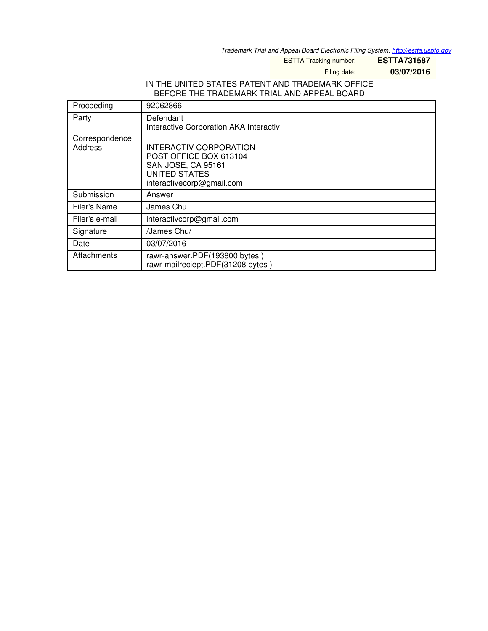*Trademark Trial and Appeal Board Electronic Filing System. <http://estta.uspto.gov>*

ESTTA Tracking number: **ESTTA731587**

Filing date: **03/07/2016**

#### IN THE UNITED STATES PATENT AND TRADEMARK OFFICE BEFORE THE TRADEMARK TRIAL AND APPEAL BOARD

| Proceeding                | 92062866                                                                                                                    |
|---------------------------|-----------------------------------------------------------------------------------------------------------------------------|
| Party                     | Defendant<br>Interactive Corporation AKA Interactiv                                                                         |
| Correspondence<br>Address | INTERACTIV CORPORATION<br>POST OFFICE BOX 613104<br>SAN JOSE, CA 95161<br><b>UNITED STATES</b><br>interactivecorp@gmail.com |
| Submission                | Answer                                                                                                                      |
| Filer's Name              | James Chu                                                                                                                   |
| Filer's e-mail            | interactivcorp@gmail.com                                                                                                    |
| Signature                 | /James Chu/                                                                                                                 |
| Date                      | 03/07/2016                                                                                                                  |
| Attachments               | rawr-answer.PDF(193800 bytes)<br>rawr-mailreciept.PDF(31208 bytes)                                                          |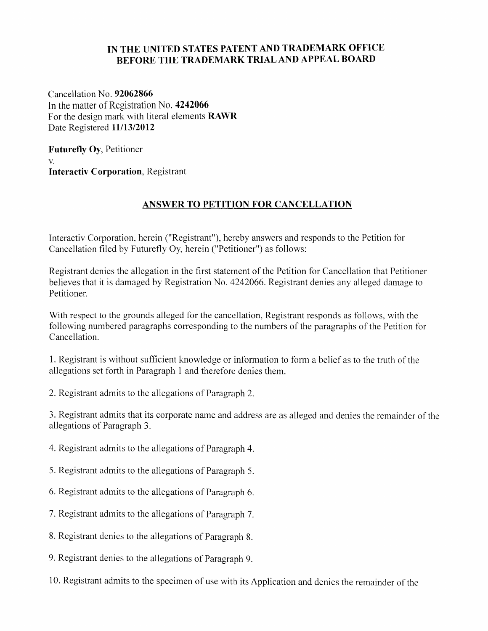# IN THE UNITED STATES PATENT AND TRADEMARK OFFICE BEFORE THE TRADEMARK TRIALAND APPEAL BOARD

Cancellation No. 92062866 In the matter of Registration No. 4242066 For the design mark with literal elements RAWR Date Registered 11/13/2012

Futurefly Oy, Petitioner V. Interactiv Corporation, Registrant

# ANSWER TO PETITION FOR CANCELLATION

Interactiv Corporation, herein ("Registrant"), hereby answers and responds to the Petition for Cancellation filed by Futurefly Oy, herein ("Petitioner") as follows:

Registrant denies the allegation in the first statement of the Petition for Cancellation that Petitioner believes that it is damaged by Registration No. 4242066. Registrant denies any alleged damage to Petitioner.

With respect to the grounds alleged for the cancellation, Registrant responds as follows, with the following numbered paragraphs corresponding to the numbers of the paragraphs of the Petition for Cancellation.

1. Registrant is without sufficient knowledge or information to form a belief as to the truth of the allegations set forth in Paragraph 1 and therefore denies them.

2. Registrant admits to the allegations of Paragraph 2.

3. Registrant admits that its corporate name and address are as alleged and denies the remainder of the allegations of Paragraph 3.

4. Registrant admits to the allegations of Paragraph 4.

5. Registrant admits to the allegations of Paragraph 5.

6. Registrant admits to the allegations of Paragraph 6.

7. Registrant admits to the allegations of Paragraph 7.

8. Registrant denies to the allegations of Paragraph 8.

9. Registrant denies to the allegations of Paragraph 9.

10. Registrant admits to the specimen of use with its Application and denies the remainder of the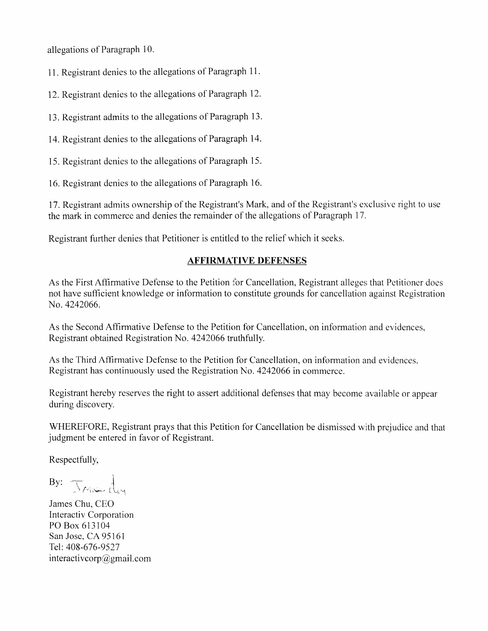allegations of Paragraph 10.

11. Registrant denies to the allegations of Paragraph 11.

12. Registrant denies to the allegations of Paragraph 12.

13. Registrant admits to the allegations of Paragraph 13.

14. Registrant denies to the allegations of Paragraph 14.

15. Registrant denies to the allegations of Paragraph 15.

16. Registrant denies to the allegations of Paragraph 16.

17. Registrant admits ownership of the Registrarrt's Mark, and of the Registrant's exclusive right to use the mark in commerce and denies the remainder of the allegations of Paragraph 17.

Resistrant further denies that Petitioner is entitled to the relief which it seeks.

### AFFIRMATIVE DEFENSES

As the First Affirmative Defense to the Petition for Cancellation, Registrant alleges that Petitioner does not have sufficient knowledge or information to constitute grounds for cancellation against Registration No.4242066.

As the Second Affirmative Defense to the Petition for Cancellation, on information and evidences, Registrant obtained Registration No. 4242066 truthfully.

As the Third Affirmative Defense to the Petition for Cancellation, on information and evidences. Registrant has continuously used the Registration No. 4242066 in commerce.

Registrant hereby reserves the right to assert additional defenses that may become available or appear during discovery.

WHEREFORE, Registrant prays that this Petition for Cancellation be dismissed with prejudice and that judgment be entered in favor of Registrant.

Respectfully,

 $\operatorname{By:}$  True day

James Chu, CEO Interactiv Corporation PO Box 613104 San Jose, CA 95161 Tel: 408-676-9527 interactivcorp@gmail.com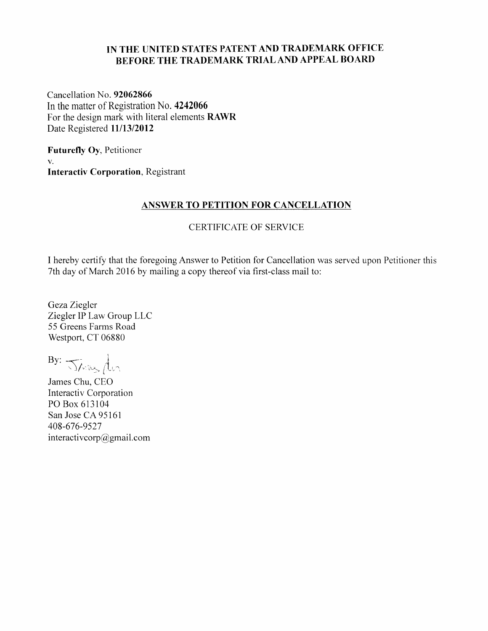# IN THE UNITED STATES PATENT AND TRADEMARK OFFICE BEFORE THE TRADEMARK TRIAL AND APPEAL BOARD

Cancellation No. 92062866 In the matter of Registration No. 4242066 For the design mark with literal elements RAWR Date Registered 11/13/2012

Futurefly Oy, Petitioner V. Interactiv Corporation, Registrant

#### ANSWER TO PETITION FOR CANCELLATION

### CERTIFICATE OF SERVICE

I hereby certify that the foregoing Answer to Petition for Cancellation was served upon Petitioner this 7th day of March 2016 by mailing a copy thereof via first-class mail to:

Geza Ziegler Ziegler IP Law Group LLC 55 Greens Farms Road Westport, CT 06880

By: Jans der

James Chu, CEO Interactiv Corporation PO Box 613104 San Jose CA 95161 408-676-9527 interactivcorp@gmail.com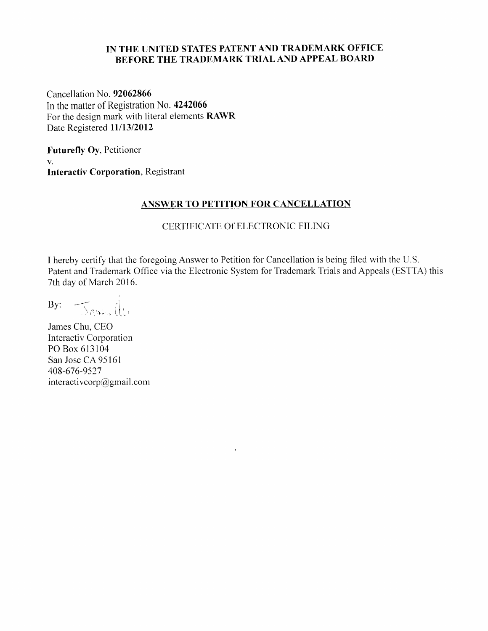## IN THE UNITED STATES PATENT AND TRADEMARK OFFICE BEFORE THE TRADEMARK TRIALAND APPEAL BOARI)

Cancellation No. 92062866 In the matter of Registration No. 4242066 For the design mark with literal elements RAWR Date Registered 11/13/2012

Futurefly Oy, Petitioner V. Interactiv Corporation, Registrant

#### ANSWER TO PETITION FOR CANCELLATION

## CERTIFICATE Of ELECTRONIC FILING

I hereby certify that the foregoing Answer to Petition for Cancellation is being filed with the U.S. Patent and Trademark Office via the Electronic System for Trademark Trials and Appeals (ESTTA) this 7th day of March 2016.

 $\cdot$ 

 $\mathsf{By:} \quad \fbox{Thus} \quad \mathbb{Q}_\mathsf{t}$ 

James Chu, CEO Interactiv Corporation PO Box 613104 San Jose CA 95161 408-676-9527 interactivcorp@gmail.com